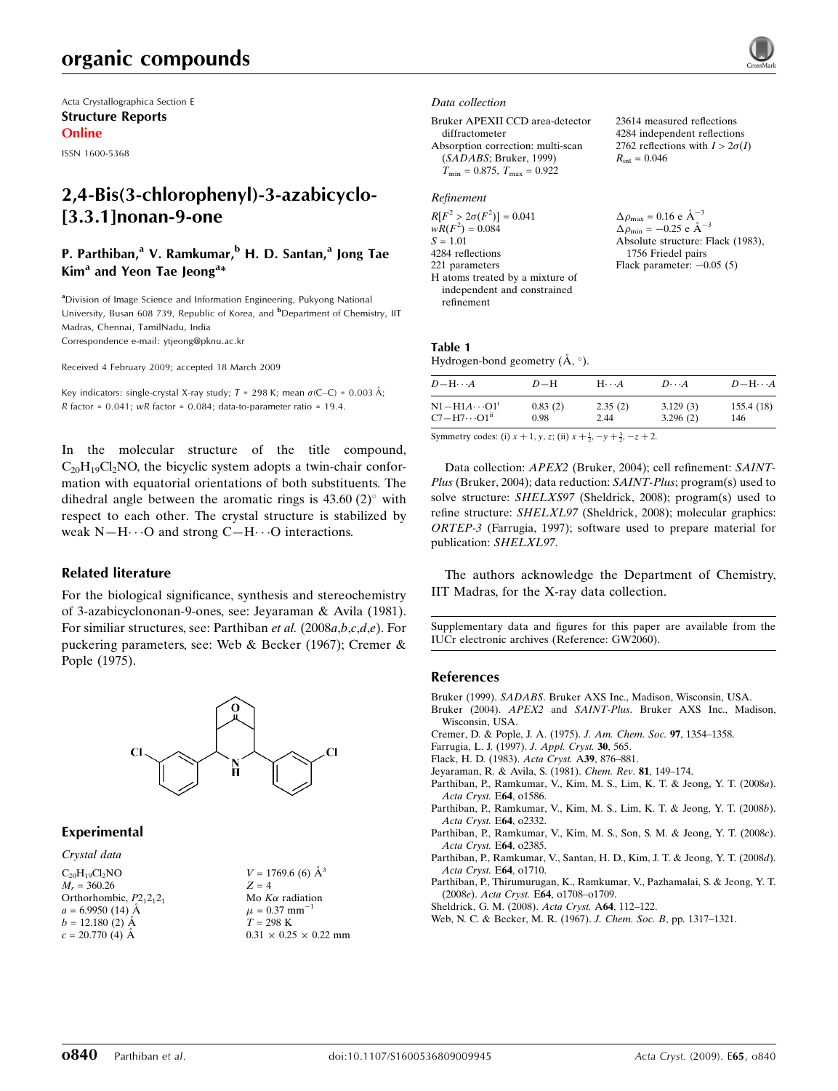# organic compounds

Acta Crystallographica Section E Structure Reports Online

ISSN 1600-5368

# 2,4-Bis(3-chlorophenyl)-3-azabicyclo- [3.3.1]nonan-9-one

## P. Parthiban,<sup>a</sup> V. Ramkumar,<sup>b</sup> H. D. Santan,<sup>a</sup> Jong Tae Kim<sup>a</sup> and Yeon Tae Jeong<sup>a\*</sup>

<sup>a</sup>Division of Image Science and Information Engineering, Pukyong National University, Busan 608 739, Republic of Korea, and <sup>b</sup>Department of Chemistry, IIT Madras, Chennai, TamilNadu, India Correspondence e-mail: ytjeong@pknu.ac.kr

Received 4 February 2009; accepted 18 March 2009

Key indicators: single-crystal X-ray study;  $T = 298$  K; mean  $\sigma$ (C–C) = 0.003 Å; R factor =  $0.041$ ; wR factor =  $0.084$ ; data-to-parameter ratio = 19.4.

In the molecular structure of the title compound,  $C_{20}H_{19}Cl_2NO$ , the bicyclic system adopts a twin-chair conformation with equatorial orientations of both substituents. The dihedral angle between the aromatic rings is  $43.60 (2)^{\circ}$  with respect to each other. The crystal structure is stabilized by weak  $N-H \cdots O$  and strong  $C-H \cdots O$  interactions.

### Related literature

For the biological significance, synthesis and stereochemistry of 3-azabicyclononan-9-ones, see: Jeyaraman & Avila (1981). For similiar structures, see: Parthiban et al. (2008a,b,c,d,e). For puckering parameters, see: Web & Becker (1967); Cremer & Pople (1975).



### Experimental

### Crystal data

 $C_{20}H_{19}Cl_2NO$  $M<sub>r</sub> = 360.26$ Orthorhombic,  $P2_12_12_1$  $a = 6.9950$  (14) Å  $b = 12.180$  (2) Å  $c = 20.770(4)$  Å

 $V = 1769.6$  (6)  $\AA^3$  $Z = 4$ Mo  $K\alpha$  radiation  $\mu = 0.37$  mm<sup>-1</sup>  $T = 298 \text{ K}$  $0.31 \times 0.25 \times 0.22$  mm

#### Data collection

Bruker APEXII CCD area-detector diffractometer Absorption correction: multi-scan (SADABS; Bruker, 1999)  $T_{\text{min}} = 0.875$ ,  $T_{\text{max}} = 0.922$ 

### Refinement

 $R[F^2 > 2\sigma(F^2)] = 0.041$  $wR(F^2) = 0.084$  $S = 1.01$ 4284 reflections 221 parameters H atoms treated by a mixture of independent and constrained refinement

23614 measured reflections 4284 independent reflections 2762 reflections with  $I > 2\sigma(I)$  $R_{\text{int}} = 0.046$ 

 $\Delta\rho_\text{max} = 0.16 \text{ e A}^{-3}$  $\Delta \rho_{\text{min}} = -0.25$  e  $\AA^{-3}$ Absolute structure: Flack (1983), 1756 Friedel pairs Flack parameter:  $-0.05$  (5)

### Table 1 Hydrogen-bond geometry  $(\AA, \degree)$ .

| $D - H \cdots A$                  | $D-H$   | $H\cdots A$ | $D\cdots A$ | $D - H \cdots A$ |
|-----------------------------------|---------|-------------|-------------|------------------|
| $\rm N1\!-\!H1A\cdots O1^{\iota}$ | 0.83(2) | 2.35(2)     | 3.129(3)    | 155.4(18)        |
| $C7 - H7 \cdots O1$ <sup>ii</sup> | 0.98    | 2.44        | 3.296(2)    | 146              |

Symmetry codes: (i)  $x + 1$ ,  $y$ ,  $z$ ; (ii)  $x + \frac{1}{2}$ ,  $-y + \frac{3}{2}$ ,  $-z + 2$ .

Data collection: *APEX2* (Bruker, 2004); cell refinement: *SAINT*-Plus (Bruker, 2004); data reduction: SAINT-Plus; program(s) used to solve structure: SHELXS97 (Sheldrick, 2008); program(s) used to refine structure: SHELXL97 (Sheldrick, 2008); molecular graphics: ORTEP-3 (Farrugia, 1997); software used to prepare material for publication: SHELXL97.

The authors acknowledge the Department of Chemistry, IIT Madras, for the X-ray data collection.

Supplementary data and figures for this paper are available from the IUCr electronic archives (Reference: GW2060).

### References

Bruker (1999). SADABS[. Bruker AXS Inc., Madison, Wisconsin, USA.](http://scripts.iucr.org/cgi-bin/cr.cgi?rm=pdfbb&cnor=gw2060&bbid=BB1)

- Bruker (2004). APEX2 and SAINT-Plus[. Bruker AXS Inc., Madison,](http://scripts.iucr.org/cgi-bin/cr.cgi?rm=pdfbb&cnor=gw2060&bbid=BB2) [Wisconsin, USA.](http://scripts.iucr.org/cgi-bin/cr.cgi?rm=pdfbb&cnor=gw2060&bbid=BB2)
- [Cremer, D. & Pople, J. A. \(1975\).](http://scripts.iucr.org/cgi-bin/cr.cgi?rm=pdfbb&cnor=gw2060&bbid=BB3) J. Am. Chem. Soc. 97, 1354–1358.
- [Farrugia, L. J. \(1997\).](http://scripts.iucr.org/cgi-bin/cr.cgi?rm=pdfbb&cnor=gw2060&bbid=BB4) J. Appl. Cryst. 30, 565.
- [Flack, H. D. \(1983\).](http://scripts.iucr.org/cgi-bin/cr.cgi?rm=pdfbb&cnor=gw2060&bbid=BB5) Acta Cryst. A39, 876–881.
- [Jeyaraman, R. & Avila, S. \(1981\).](http://scripts.iucr.org/cgi-bin/cr.cgi?rm=pdfbb&cnor=gw2060&bbid=BB6) Chem. Rev. 81, 149–174.
- [Parthiban, P., Ramkumar, V., Kim, M. S., Lim, K. T. & Jeong, Y. T. \(2008](http://scripts.iucr.org/cgi-bin/cr.cgi?rm=pdfbb&cnor=gw2060&bbid=BB7)a). [Acta Cryst.](http://scripts.iucr.org/cgi-bin/cr.cgi?rm=pdfbb&cnor=gw2060&bbid=BB7) E64, o1586.
- [Parthiban, P., Ramkumar, V., Kim, M. S., Lim, K. T. & Jeong, Y. T. \(2008](http://scripts.iucr.org/cgi-bin/cr.cgi?rm=pdfbb&cnor=gw2060&bbid=BB8)b). [Acta Cryst.](http://scripts.iucr.org/cgi-bin/cr.cgi?rm=pdfbb&cnor=gw2060&bbid=BB8) E64, o2332.
- [Parthiban, P., Ramkumar, V., Kim, M. S., Son, S. M. & Jeong, Y. T. \(2008](http://scripts.iucr.org/cgi-bin/cr.cgi?rm=pdfbb&cnor=gw2060&bbid=BB9)c). [Acta Cryst.](http://scripts.iucr.org/cgi-bin/cr.cgi?rm=pdfbb&cnor=gw2060&bbid=BB9) E64, o2385.
- [Parthiban, P., Ramkumar, V., Santan, H. D., Kim, J. T. & Jeong, Y. T. \(2008](http://scripts.iucr.org/cgi-bin/cr.cgi?rm=pdfbb&cnor=gw2060&bbid=BB10)d). [Acta Cryst.](http://scripts.iucr.org/cgi-bin/cr.cgi?rm=pdfbb&cnor=gw2060&bbid=BB10) E64, o1710.
- [Parthiban, P., Thirumurugan, K., Ramkumar, V., Pazhamalai, S. & Jeong, Y. T.](http://scripts.iucr.org/cgi-bin/cr.cgi?rm=pdfbb&cnor=gw2060&bbid=BB11) (2008e). Acta Cryst. E64[, o1708–o1709.](http://scripts.iucr.org/cgi-bin/cr.cgi?rm=pdfbb&cnor=gw2060&bbid=BB11)
- [Sheldrick, G. M. \(2008\).](http://scripts.iucr.org/cgi-bin/cr.cgi?rm=pdfbb&cnor=gw2060&bbid=BB12) Acta Cryst. A64, 112–122.
- [Web, N. C. & Becker, M. R. \(1967\).](http://scripts.iucr.org/cgi-bin/cr.cgi?rm=pdfbb&cnor=gw2060&bbid=BB13) J. Chem. Soc. B, pp. 1317–1321.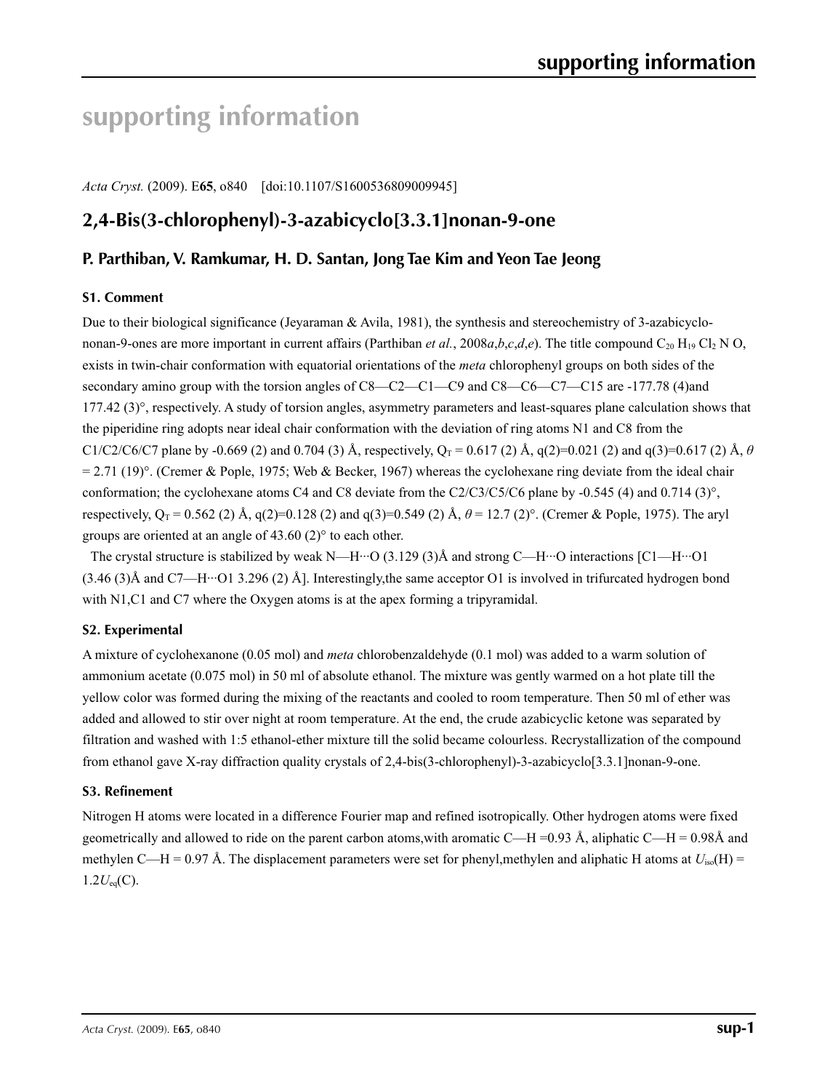# **supporting information**

*Acta Cryst.* (2009). E**65**, o840 [doi:10.1107/S1600536809009945]

# **2,4-Bis(3-chlorophenyl)-3-azabicyclo[3.3.1]nonan-9-one**

## **P. Parthiban, V. Ramkumar, H. D. Santan, Jong Tae Kim and Yeon Tae Jeong**

### **S1. Comment**

Due to their biological significance (Jeyaraman & Avila, 1981), the synthesis and stereochemistry of 3-azabicyclononan-9-ones are more important in current affairs (Parthiban *et al.*, 2008*a,b,c,d,e*). The title compound  $C_{20}$  H<sub>19</sub> Cl<sub>2</sub> N O, exists in twin-chair conformation with equatorial orientations of the *meta* chlorophenyl groups on both sides of the secondary amino group with the torsion angles of C8—C2—C1—C9 and C8—C6—C7—C15 are -177.78 (4)and  $177.42$  (3) $^{\circ}$ , respectively. A study of torsion angles, asymmetry parameters and least-squares plane calculation shows that the piperidine ring adopts near ideal chair conformation with the deviation of ring atoms N1 and C8 from the C1/C2/C6/C7 plane by -0.669 (2) and 0.704 (3) Å, respectively,  $Q_T = 0.617$  (2) Å,  $q(2)=0.021$  (2) and  $q(3)=0.617$  (2) Å,  $\theta$  $= 2.71$  (19)°. (Cremer & Pople, 1975; Web & Becker, 1967) whereas the cyclohexane ring deviate from the ideal chair conformation; the cyclohexane atoms C4 and C8 deviate from the C2/C3/C5/C6 plane by -0.545 (4) and 0.714 (3)°, respectively,  $Q_T = 0.562$  (2) Å,  $q(2)=0.128$  (2) and  $q(3)=0.549$  (2) Å,  $\theta = 12.7$  (2)°. (Cremer & Pople, 1975). The aryl groups are oriented at an angle of 43.60 (2)° to each other.

The crystal structure is stabilized by weak N—H…O (3.129 (3)Å and strong C—H…O interactions  $\lbrack \text{C1--H}$ …O 1  $(3.46 \text{ (3)}\text{\AA}$  and C7—H···O1 3.296 (2)  $\text{\AA}$ . Interestingly, the same acceptor O1 is involved in trifurcated hydrogen bond with N1,C1 and C7 where the Oxygen atoms is at the apex forming a tripyramidal.

### **S2. Experimental**

A mixture of cyclohexanone (0.05 mol) and *meta* chlorobenzaldehyde (0.1 mol) was added to a warm solution of ammonium acetate (0.075 mol) in 50 ml of absolute ethanol. The mixture was gently warmed on a hot plate till the yellow color was formed during the mixing of the reactants and cooled to room temperature. Then 50 ml of ether was added and allowed to stir over night at room temperature. At the end, the crude azabicyclic ketone was separated by filtration and washed with 1:5 ethanol-ether mixture till the solid became colourless. Recrystallization of the compound from ethanol gave X-ray diffraction quality crystals of 2,4-bis(3-chlorophenyl)-3-azabicyclo[3.3.1]nonan-9-one.

### **S3. Refinement**

Nitrogen H atoms were located in a difference Fourier map and refined isotropically. Other hydrogen atoms were fixed geometrically and allowed to ride on the parent carbon atoms, with aromatic C—H =0.93 Å, aliphatic C—H = 0.98Å and methylen C—H = 0.97 Å. The displacement parameters were set for phenyl,methylen and aliphatic H atoms at  $U_{iso}(H)$  =  $1.2U_{eq}(C)$ .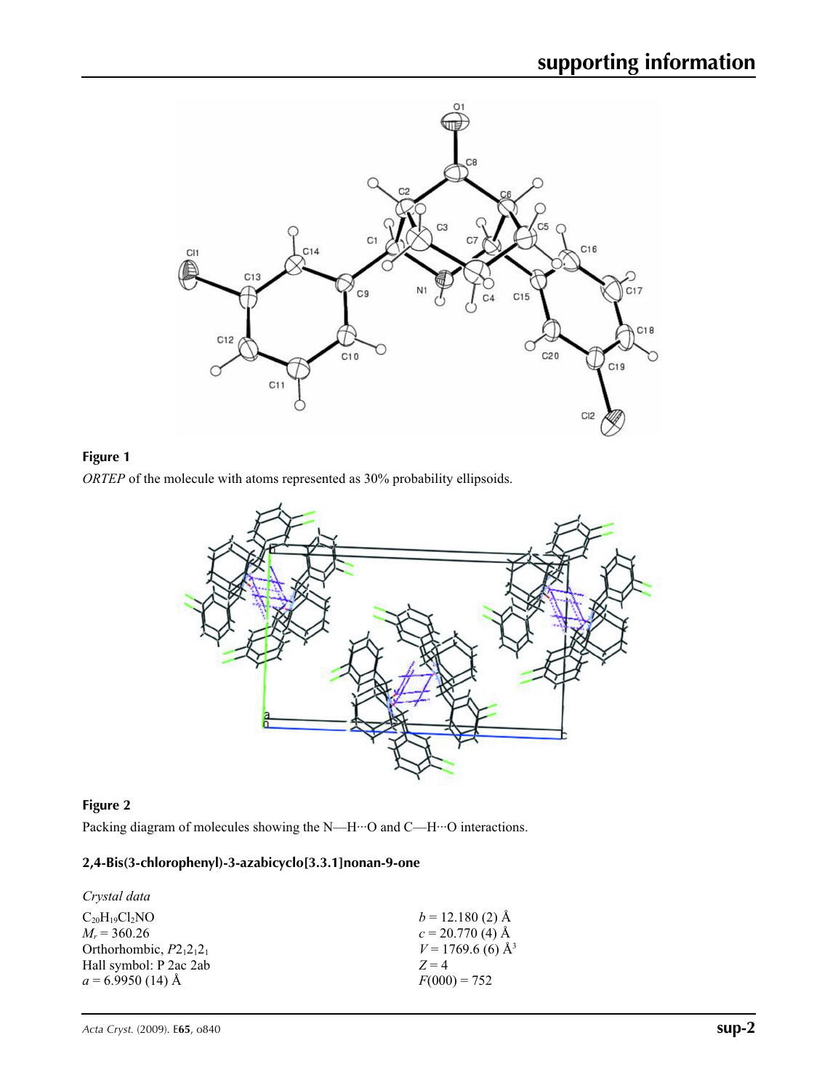

## **Figure 1**

*ORTEP* of the molecule with atoms represented as 30% probability ellipsoids.



## **Figure 2**

Packing diagram of molecules showing the N—H···O and C—H···O interactions.

### **2,4-Bis(3-chlorophenyl)-3-azabicyclo[3.3.1]nonan-9-one**

| Crystal data               |                                 |
|----------------------------|---------------------------------|
| $C_{20}H_{19}Cl_2NO$       | $b = 12.180(2)$ Å               |
| $M_r = 360.26$             | $c = 20.770(4)$ Å               |
| Orthorhombic, $P2_12_12_1$ | $V = 1769.6$ (6) Å <sup>3</sup> |
| Hall symbol: P 2ac 2ab     | $Z=4$                           |
| $a = 6.9950$ (14) Å        | $F(000) = 752$                  |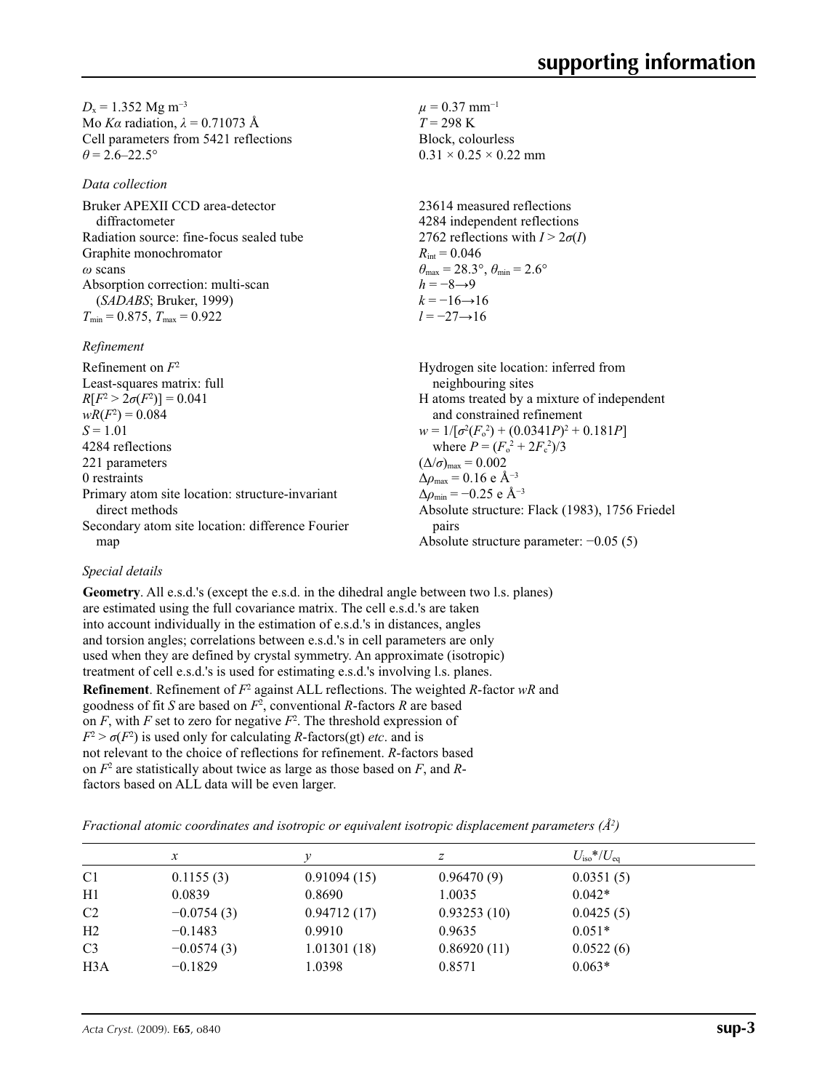$D_x = 1.352$  Mg m<sup>-3</sup> Mo *Kα* radiation, *λ* = 0.71073 Å Cell parameters from 5421 reflections  $\theta$  = 2.6–22.5°

*Data collection*

Bruker APEXII CCD area-detector diffractometer Radiation source: fine-focus sealed tube Graphite monochromator *ω* scans Absorption correction: multi-scan (*SADABS*; Bruker, 1999)  $T_{\text{min}} = 0.875$ ,  $T_{\text{max}} = 0.922$ 

*Refinement*

Refinement on *F*<sup>2</sup> Least-squares matrix: full *R*[ $F^2 > 2\sigma(F^2)$ ] = 0.041  $wR(F^2) = 0.084$  $S = 1.01$ 4284 reflections 221 parameters 0 restraints Primary atom site location: structure-invariant direct methods Secondary atom site location: difference Fourier map Hydrogen site location: inferred from neighbouring sites H atoms treated by a mixture of independent and constrained refinement  $w = 1/[\sigma^2 (F_o^2) + (0.0341P)^2 + 0.181P]$ where  $P = (F_o^2 + 2F_c^2)/3$  $(\Delta/\sigma)_{\text{max}} = 0.002$  $\Delta\rho_{\text{max}} = 0.16$  e Å<sup>-3</sup>  $\Delta \rho_{\rm min} = -0.25$  e Å<sup>-3</sup> Absolute structure: Flack (1983), 1756 Friedel pairs Absolute structure parameter: −0.05 (5)

 $\mu$  = 0.37 mm<sup>-1</sup>  $T = 298 \text{ K}$ Block, colourless  $0.31 \times 0.25 \times 0.22$  mm

 $R_{\text{int}} = 0.046$ 

 $h = -8 \rightarrow 9$  $k = -16 \rightarrow 16$ *l* = −27→16

23614 measured reflections 4284 independent reflections 2762 reflections with  $I > 2\sigma(I)$ 

 $\theta_{\text{max}} = 28.3^{\circ}, \theta_{\text{min}} = 2.6^{\circ}$ 

### *Special details*

**Geometry**. All e.s.d.'s (except the e.s.d. in the dihedral angle between two l.s. planes) are estimated using the full covariance matrix. The cell e.s.d.'s are taken into account individually in the estimation of e.s.d.'s in distances, angles and torsion angles; correlations between e.s.d.'s in cell parameters are only used when they are defined by crystal symmetry. An approximate (isotropic) treatment of cell e.s.d.'s is used for estimating e.s.d.'s involving l.s. planes. **Refinement**. Refinement of  $F^2$  against ALL reflections. The weighted *R*-factor wR and goodness of fit *S* are based on *F*<sup>2</sup> , conventional *R*-factors *R* are based on  $F$ , with  $F$  set to zero for negative  $F^2$ . The threshold expression of  $F^2 > \sigma(F^2)$  is used only for calculating *R*-factors(gt) *etc*. and is not relevant to the choice of reflections for refinement. *R*-factors based on *F*<sup>2</sup> are statistically about twice as large as those based on *F*, and *R*factors based on ALL data will be even larger.

*Fractional atomic coordinates and isotropic or equivalent isotropic displacement parameters (Å<sup>2</sup>)* 

|                | х            |             | z           | $U_{\rm iso}*/U_{\rm eq}$ |  |
|----------------|--------------|-------------|-------------|---------------------------|--|
| C <sub>1</sub> | 0.1155(3)    | 0.91094(15) | 0.96470(9)  | 0.0351(5)                 |  |
| H1             | 0.0839       | 0.8690      | 1.0035      | $0.042*$                  |  |
| C <sub>2</sub> | $-0.0754(3)$ | 0.94712(17) | 0.93253(10) | 0.0425(5)                 |  |
| H <sub>2</sub> | $-0.1483$    | 0.9910      | 0.9635      | $0.051*$                  |  |
| C <sub>3</sub> | $-0.0574(3)$ | 1.01301(18) | 0.86920(11) | 0.0522(6)                 |  |
| H3A            | $-0.1829$    | 1.0398      | 0.8571      | $0.063*$                  |  |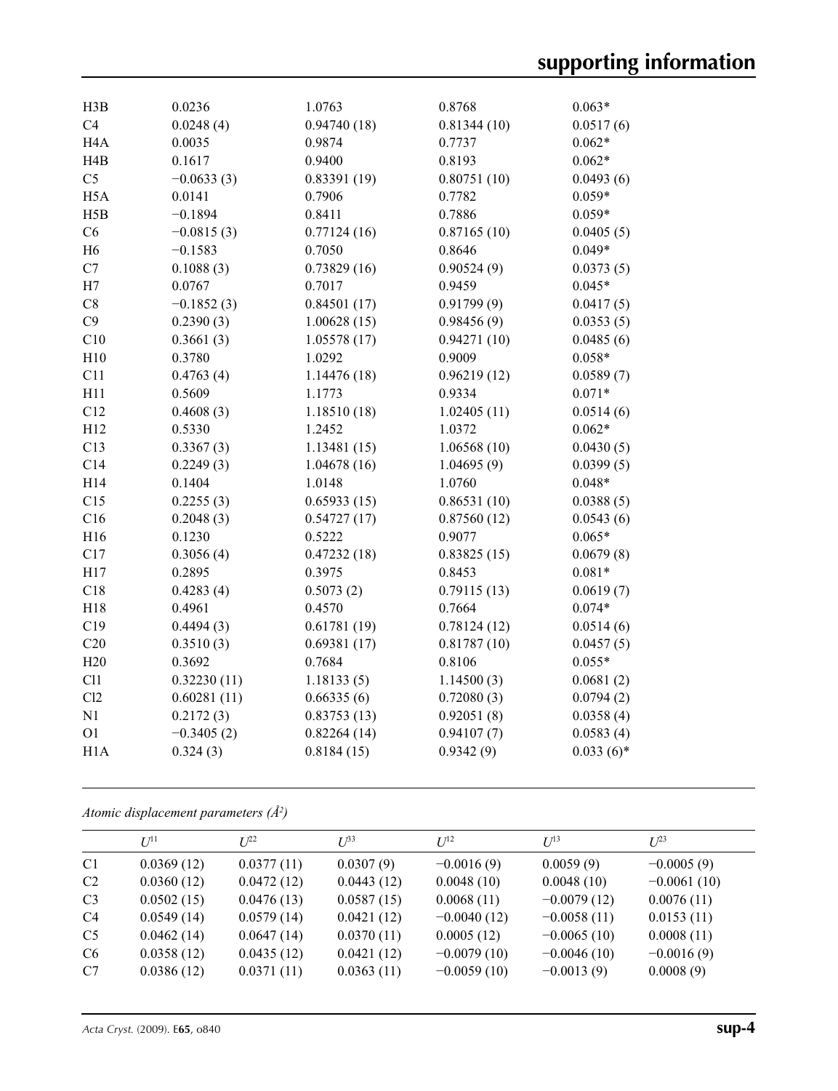| H3B              | 0.0236       | 1.0763       | 0.8768      | $0.063*$    |
|------------------|--------------|--------------|-------------|-------------|
| C4               | 0.0248(4)    | 0.94740(18)  | 0.81344(10) | 0.0517(6)   |
| H <sub>4</sub> A | 0.0035       | 0.9874       | 0.7737      | $0.062*$    |
| H4B              | 0.1617       | 0.9400       | 0.8193      | $0.062*$    |
| C <sub>5</sub>   | $-0.0633(3)$ | 0.83391(19)  | 0.80751(10) | 0.0493(6)   |
| H <sub>5</sub> A | 0.0141       | 0.7906       | 0.7782      | $0.059*$    |
| H5B              | $-0.1894$    | 0.8411       | 0.7886      | $0.059*$    |
| C6               | $-0.0815(3)$ | 0.77124(16)  | 0.87165(10) | 0.0405(5)   |
| H <sub>6</sub>   | $-0.1583$    | 0.7050       | 0.8646      | $0.049*$    |
| C7               | 0.1088(3)    | 0.73829(16)  | 0.90524(9)  | 0.0373(5)   |
| H7               | 0.0767       | 0.7017       | 0.9459      | $0.045*$    |
| C8               | $-0.1852(3)$ | 0.84501(17)  | 0.91799(9)  | 0.0417(5)   |
| C9               | 0.2390(3)    | 1.00628(15)  | 0.98456(9)  | 0.0353(5)   |
| C10              | 0.3661(3)    | 1.05578(17)  | 0.94271(10) | 0.0485(6)   |
| H10              | 0.3780       | 1.0292       | 0.9009      | $0.058*$    |
| C11              | 0.4763(4)    | 1.14476(18)  | 0.96219(12) | 0.0589(7)   |
| H11              | 0.5609       | 1.1773       | 0.9334      | $0.071*$    |
| C12              | 0.4608(3)    | 1.18510 (18) | 1.02405(11) | 0.0514(6)   |
| H12              | 0.5330       | 1.2452       | 1.0372      | $0.062*$    |
| C13              | 0.3367(3)    | 1.13481(15)  | 1.06568(10) | 0.0430(5)   |
| C14              | 0.2249(3)    | 1.04678(16)  | 1.04695(9)  | 0.0399(5)   |
| H14              | 0.1404       | 1.0148       | 1.0760      | $0.048*$    |
| C15              | 0.2255(3)    | 0.65933(15)  | 0.86531(10) | 0.0388(5)   |
| C16              | 0.2048(3)    | 0.54727(17)  | 0.87560(12) | 0.0543(6)   |
| H16              | 0.1230       | 0.5222       | 0.9077      | $0.065*$    |
| C17              | 0.3056(4)    | 0.47232(18)  | 0.83825(15) | 0.0679(8)   |
| H17              | 0.2895       | 0.3975       | 0.8453      | $0.081*$    |
| C18              | 0.4283(4)    | 0.5073(2)    | 0.79115(13) | 0.0619(7)   |
| H18              | 0.4961       | 0.4570       | 0.7664      | $0.074*$    |
| C19              | 0.4494(3)    | 0.61781(19)  | 0.78124(12) | 0.0514(6)   |
| C20              | 0.3510(3)    | 0.69381(17)  | 0.81787(10) | 0.0457(5)   |
| H20              | 0.3692       | 0.7684       | 0.8106      | $0.055*$    |
| Cl1              | 0.32230(11)  | 1.18133(5)   | 1.14500(3)  | 0.0681(2)   |
| Cl2              | 0.60281(11)  | 0.66335(6)   | 0.72080(3)  | 0.0794(2)   |
| N1               | 0.2172(3)    | 0.83753(13)  | 0.92051(8)  | 0.0358(4)   |
| O <sub>1</sub>   | $-0.3405(2)$ | 0.82264(14)  | 0.94107(7)  | 0.0583(4)   |
| H1A              | 0.324(3)     | 0.8184(15)   | 0.9342(9)   | $0.033(6)*$ |
|                  |              |              |             |             |

*Atomic displacement parameters (Å2 )*

|                | $U^{11}$   | $L^{22}$   | $I^{\beta 3}$ | $U^{12}$      | $U^{13}$      | $L^{23}$      |
|----------------|------------|------------|---------------|---------------|---------------|---------------|
| C <sub>1</sub> | 0.0369(12) | 0.0377(11) | 0.0307(9)     | $-0.0016(9)$  | 0.0059(9)     | $-0.0005(9)$  |
| C2             | 0.0360(12) | 0.0472(12) | 0.0443(12)    | 0.0048(10)    | 0.0048(10)    | $-0.0061(10)$ |
| C <sub>3</sub> | 0.0502(15) | 0.0476(13) | 0.0587(15)    | 0.0068(11)    | $-0.0079(12)$ | 0.0076(11)    |
| C <sub>4</sub> | 0.0549(14) | 0.0579(14) | 0.0421(12)    | $-0.0040(12)$ | $-0.0058(11)$ | 0.0153(11)    |
| C <sub>5</sub> | 0.0462(14) | 0.0647(14) | 0.0370(11)    | 0.0005(12)    | $-0.0065(10)$ | 0.0008(11)    |
| C <sub>6</sub> | 0.0358(12) | 0.0435(12) | 0.0421(12)    | $-0.0079(10)$ | $-0.0046(10)$ | $-0.0016(9)$  |
| C7             | 0.0386(12) | 0.0371(11) | 0.0363(11)    | $-0.0059(10)$ | $-0.0013(9)$  | 0.0008(9)     |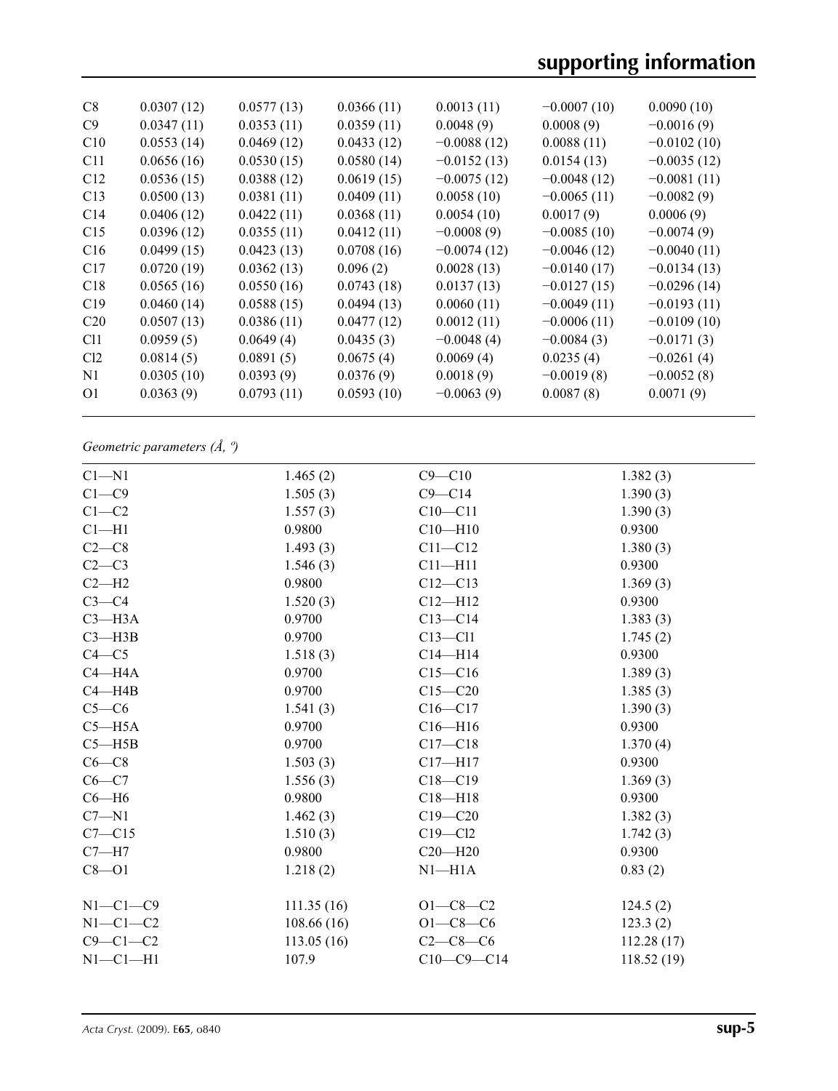| C8              | 0.0307(12) | 0.0577(13) | 0.0366(11) | 0.0013(11)    | $-0.0007(10)$ | 0.0090(10)    |
|-----------------|------------|------------|------------|---------------|---------------|---------------|
| C9              | 0.0347(11) | 0.0353(11) | 0.0359(11) | 0.0048(9)     | 0.0008(9)     | $-0.0016(9)$  |
| C10             | 0.0553(14) | 0.0469(12) | 0.0433(12) | $-0.0088(12)$ | 0.0088(11)    | $-0.0102(10)$ |
| C11             | 0.0656(16) | 0.0530(15) | 0.0580(14) | $-0.0152(13)$ | 0.0154(13)    | $-0.0035(12)$ |
| C12             | 0.0536(15) | 0.0388(12) | 0.0619(15) | $-0.0075(12)$ | $-0.0048(12)$ | $-0.0081(11)$ |
| C13             | 0.0500(13) | 0.0381(11) | 0.0409(11) | 0.0058(10)    | $-0.0065(11)$ | $-0.0082(9)$  |
| C14             | 0.0406(12) | 0.0422(11) | 0.0368(11) | 0.0054(10)    | 0.0017(9)     | 0.0006(9)     |
| C15             | 0.0396(12) | 0.0355(11) | 0.0412(11) | $-0.0008(9)$  | $-0.0085(10)$ | $-0.0074(9)$  |
| C16             | 0.0499(15) | 0.0423(13) | 0.0708(16) | $-0.0074(12)$ | $-0.0046(12)$ | $-0.0040(11)$ |
| C17             | 0.0720(19) | 0.0362(13) | 0.096(2)   | 0.0028(13)    | $-0.0140(17)$ | $-0.0134(13)$ |
| C18             | 0.0565(16) | 0.0550(16) | 0.0743(18) | 0.0137(13)    | $-0.0127(15)$ | $-0.0296(14)$ |
| C19             | 0.0460(14) | 0.0588(15) | 0.0494(13) | 0.0060(11)    | $-0.0049(11)$ | $-0.0193(11)$ |
| C <sub>20</sub> | 0.0507(13) | 0.0386(11) | 0.0477(12) | 0.0012(11)    | $-0.0006(11)$ | $-0.0109(10)$ |
| C <sub>11</sub> | 0.0959(5)  | 0.0649(4)  | 0.0435(3)  | $-0.0048(4)$  | $-0.0084(3)$  | $-0.0171(3)$  |
| Cl <sub>2</sub> | 0.0814(5)  | 0.0891(5)  | 0.0675(4)  | 0.0069(4)     | 0.0235(4)     | $-0.0261(4)$  |
| N <sub>1</sub>  | 0.0305(10) | 0.0393(9)  | 0.0376(9)  | 0.0018(9)     | $-0.0019(8)$  | $-0.0052(8)$  |
| O <sub>1</sub>  | 0.0363(9)  | 0.0793(11) | 0.0593(10) | $-0.0063(9)$  | 0.0087(8)     | 0.0071(9)     |
|                 |            |            |            |               |               |               |

*Geometric parameters (Å, º)*

| $C1 - N1$      | 1.465(2)   | $C9 - C10$     | 1.382(3)   |
|----------------|------------|----------------|------------|
| $C1 - C9$      | 1.505(3)   | $C9 - C14$     | 1.390(3)   |
| $C1-C2$        | 1.557(3)   | $C10 - C11$    | 1.390(3)   |
| $Cl-H1$        | 0.9800     | $C10 - H10$    | 0.9300     |
| $C2-C8$        | 1.493(3)   | $C11 - C12$    | 1.380(3)   |
| $C2-C3$        | 1.546(3)   | $C11 - H11$    | 0.9300     |
| $C2-H2$        | 0.9800     | $C12 - C13$    | 1.369(3)   |
| $C3-C4$        | 1.520(3)   | $C12 - H12$    | 0.9300     |
| $C3$ —H $3A$   | 0.9700     | $C13 - C14$    | 1.383(3)   |
| $C3 - H3B$     | 0.9700     | $C13 - C11$    | 1.745(2)   |
| $C4 - C5$      | 1.518(3)   | $C14 - H14$    | 0.9300     |
| $C4 - H4A$     | 0.9700     | $C15 - C16$    | 1.389(3)   |
| $C4 - H4B$     | 0.9700     | $C15 - C20$    | 1.385(3)   |
| $C5-C6$        | 1.541(3)   | $C16 - C17$    | 1.390(3)   |
| $C5 - H5A$     | 0.9700     | $C16 - H16$    | 0.9300     |
| $C5 - H5B$     | 0.9700     | $C17 - C18$    | 1.370(4)   |
| $C6-C8$        | 1.503(3)   | $C17 - H17$    | 0.9300     |
| $C6-C7$        | 1.556(3)   | $C18 - C19$    | 1.369(3)   |
| $C6 - H6$      | 0.9800     | $C18 - H18$    | 0.9300     |
| $C7 - N1$      | 1.462(3)   | $C19 - C20$    | 1.382(3)   |
| $C7 - C15$     | 1.510(3)   | $C19 - C12$    | 1.742(3)   |
| $C7 - H7$      | 0.9800     | $C20 - H20$    | 0.9300     |
| $C8 - O1$      | 1.218(2)   | $N1 - H1A$     | 0.83(2)    |
| $N1-C1-C9$     | 111.35(16) | $O1 - C8 - C2$ | 124.5(2)   |
| $N1-C1-C2$     | 108.66(16) | $O1 - C8 - C6$ | 123.3(2)   |
| $C9 - C1 - C2$ | 113.05(16) | $C2-C8-C6$     | 112.28(17) |
| $N1-C1-H1$     | 107.9      | $C10-C9-C14$   | 118.52(19) |
|                |            |                |            |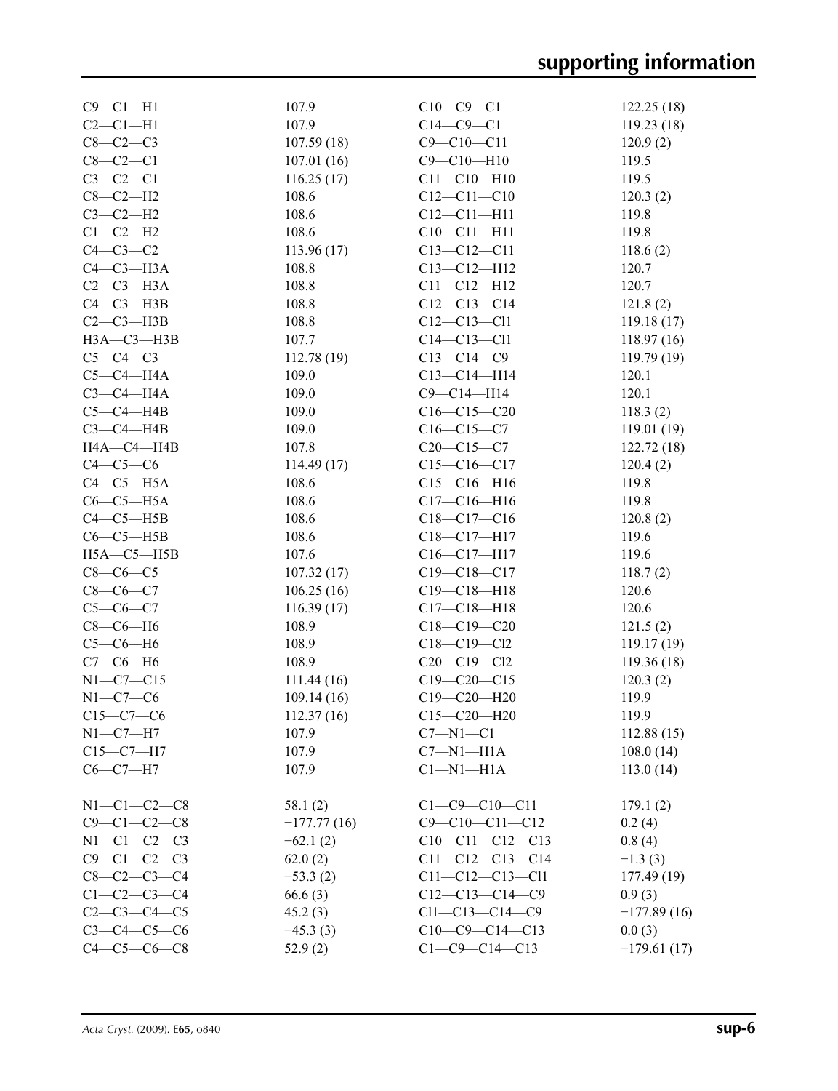| $C9 - C1 - H1$      | 107.9         | $C10-C9-C1$             | 122.25(18)    |
|---------------------|---------------|-------------------------|---------------|
| $C2-C1-H1$          | 107.9         | $C14-C9-C1$             | 119.23(18)    |
| $C8-C2-C3$          | 107.59(18)    | $C9 - C10 - C11$        | 120.9(2)      |
| $C8-C2-C1$          | 107.01(16)    | $C9 - C10 - H10$        | 119.5         |
| $C3-C2-C1$          | 116.25(17)    | $C11 - C10 - H10$       | 119.5         |
| $C8-C2-H2$          | 108.6         | $C12 - C11 - C10$       | 120.3(2)      |
| $C3-C2-H2$          | 108.6         | $C12 - C11 - H11$       | 119.8         |
| $C1-C2-H2$          | 108.6         | $C10-C11-H11$           | 119.8         |
| $C4-C3-C2$          | 113.96(17)    | $C13 - C12 - C11$       | 118.6(2)      |
| $C4-C3-H3A$         | 108.8         | $C13 - C12 - H12$       | 120.7         |
| $C2-C3-H3A$         | 108.8         | $C11 - C12 - H12$       | 120.7         |
| $C4 - C3 - H3B$     | 108.8         | $C12-C13-C14$           | 121.8(2)      |
|                     |               |                         |               |
| $C2-C3-H3B$         | 108.8         | $C12 - C13 - C11$       | 119.18(17)    |
| НЗА-СЗ-НЗВ          | 107.7         | $C14 - C13 - C11$       | 118.97(16)    |
| $C5-C4-C3$          | 112.78(19)    | $C13-C14-C9$            | 119.79(19)    |
| $C5-C4-H4A$         | 109.0         | $C13 - C14 - H14$       | 120.1         |
| $C3-C4-H4A$         | 109.0         | $C9 - C14 - H14$        | 120.1         |
| $C5-C4-H4B$         | 109.0         | $C16-C15-C20$           | 118.3(2)      |
| $C3-C4-HAB$         | 109.0         | $C16 - C15 - C7$        | 119.01(19)    |
| HA—C4—H4B           | 107.8         | $C20-C15-C7$            | 122.72(18)    |
| $C4-C5-C6$          | 114.49(17)    | $C15-C16-C17$           | 120.4(2)      |
| $C4-C5-H5A$         | 108.6         | $C15-C16-H16$           | 119.8         |
| $C6-C5-H5A$         | 108.6         | $C17 - C16 - H16$       | 119.8         |
| $C4 - C5 - H5B$     | 108.6         | $C18-C17-C16$           | 120.8(2)      |
|                     |               |                         |               |
| $C6-C5-H5B$         | 108.6         | C18-C17-H17             | 119.6         |
| $H5A - C5 - H5B$    | 107.6         | $C16 - C17 - H17$       | 119.6         |
| $C8-C6-C5$          | 107.32(17)    | $C19 - C18 - C17$       | 118.7(2)      |
| $C8-C6-C7$          | 106.25(16)    | $C19 - C18 - H18$       | 120.6         |
| $C5 - C6 - C7$      | 116.39(17)    | $C17 - C18 - H18$       | 120.6         |
| $C8-C6-H6$          | 108.9         | $C18 - C19 - C20$       | 121.5(2)      |
| $C5-C6-H6$          | 108.9         | $C18 - C19 - C12$       | 119.17(19)    |
| $C7-C6-H6$          | 108.9         | $C20 - C19 - C12$       | 119.36(18)    |
| $N1 - C7 - C15$     | 111.44(16)    | $C19 - C20 - C15$       | 120.3(2)      |
| $N1-C7-C6$          | 109.14(16)    | $C19 - C20 - H20$       | 119.9         |
| $C15-C7-C6$         | 112.37(16)    | $C15 - C20 - H20$       | 119.9         |
| $N1-C7-H7$          | 107.9         | $C7 - N1 - C1$          | 112.88(15)    |
| $C15-C7-H7$         | 107.9         | $C7 - N1 - H1A$         |               |
|                     |               |                         | 108.0(14)     |
| $C6-C7-H7$          | 107.9         | $Cl-M1-H1A$             | 113.0(14)     |
|                     |               |                         |               |
| $N1-C1-C2-C8$       | 58.1(2)       | $C1 - C9 - C10 - C11$   | 179.1(2)      |
| $C9 - C1 - C2 - C8$ | $-177.77(16)$ | $C9 - C10 - C11 - C12$  | 0.2(4)        |
| $N1 - C1 - C2 - C3$ | $-62.1(2)$    | $C10-C11-C12-C13$       | 0.8(4)        |
| $C9 - C1 - C2 - C3$ | 62.0(2)       | $C11-C12-C13-C14$       | $-1.3(3)$     |
| $C8 - C2 - C3 - C4$ | $-53.3(2)$    | $C11 - C12 - C13 - C11$ | 177.49 (19)   |
| $C1-C2-C3-C4$       | 66.6(3)       | $C12-C13-C14-C9$        | 0.9(3)        |
| $C2 - C3 - C4 - C5$ | 45.2(3)       | $Cl1 - Cl3 - Cl4 - C9$  | $-177.89(16)$ |
| $C3 - C4 - C5 - C6$ | $-45.3(3)$    | $C10-C9-C14-C13$        | 0.0(3)        |
| $C4 - C5 - C6 - C8$ | 52.9(2)       | $C1 - C9 - C14 - C13$   | $-179.61(17)$ |